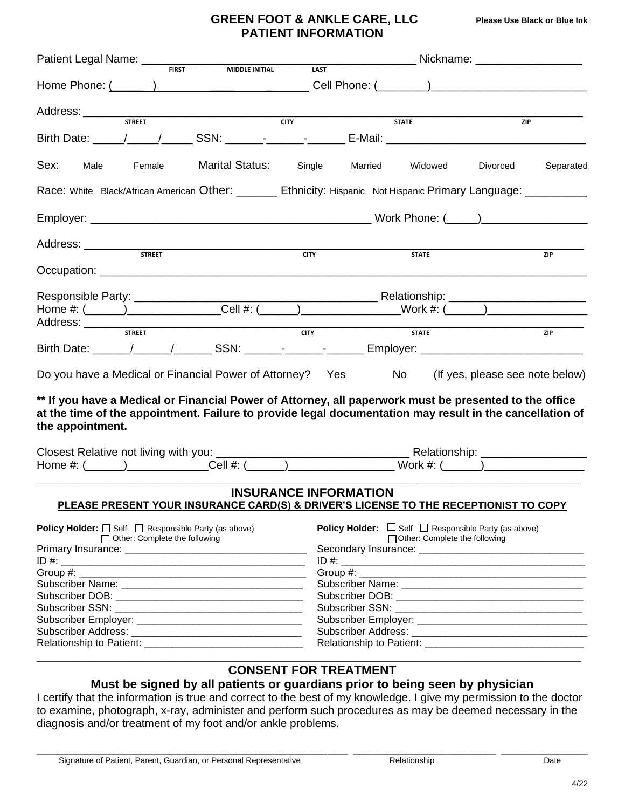### **GREEN FOOT & ANKLE CARE, LLC Please Use Black or Blue Ink PATIENT INFORMATION**

| <b>FIRST</b><br>MIDDLE INITIAL                                                                                                                                                                                                         | _________________________ Nickname: ________________________<br><b>LAST</b> |  |  |  |  |  |
|----------------------------------------------------------------------------------------------------------------------------------------------------------------------------------------------------------------------------------------|-----------------------------------------------------------------------------|--|--|--|--|--|
|                                                                                                                                                                                                                                        |                                                                             |  |  |  |  |  |
| <b>STREET</b><br><b>CITY</b>                                                                                                                                                                                                           | <b>STATE</b><br>ZIP                                                         |  |  |  |  |  |
|                                                                                                                                                                                                                                        |                                                                             |  |  |  |  |  |
| Sex:<br><b>Marital Status:</b><br>Male<br>Female                                                                                                                                                                                       | Single Married<br>Widowed<br>Divorced<br>Separated                          |  |  |  |  |  |
| Race: White Black/African American Other: _______ Ethnicity: Hispanic Not Hispanic Primary Language: _________                                                                                                                         |                                                                             |  |  |  |  |  |
|                                                                                                                                                                                                                                        |                                                                             |  |  |  |  |  |
| <b>STREET</b>                                                                                                                                                                                                                          | <b>CITY</b><br><b>STATE</b><br>ZIP                                          |  |  |  |  |  |
|                                                                                                                                                                                                                                        |                                                                             |  |  |  |  |  |
| Responsible Party: _____________________                                                                                                                                                                                               |                                                                             |  |  |  |  |  |
| <b>STREET</b>                                                                                                                                                                                                                          | CTY<br><b>STATE</b><br>ZIP                                                  |  |  |  |  |  |
| Do you have a Medical or Financial Power of Attorney? Yes No                                                                                                                                                                           | (If yes, please see note below)                                             |  |  |  |  |  |
| ** If you have a Medical or Financial Power of Attorney, all paperwork must be presented to the office<br>at the time of the appointment. Failure to provide legal documentation may result in the cancellation of<br>the appointment. |                                                                             |  |  |  |  |  |
|                                                                                                                                                                                                                                        |                                                                             |  |  |  |  |  |
|                                                                                                                                                                                                                                        |                                                                             |  |  |  |  |  |
| <b>INSURANCE INFORMATION</b><br>PLEASE PRESENT YOUR INSURANCE CARD(S) & DRIVER'S LICENSE TO THE RECEPTIONIST TO COPY                                                                                                                   |                                                                             |  |  |  |  |  |
| <b>Policy Holder:</b> $\Box$ Self $\Box$ Responsible Party (as above)                                                                                                                                                                  | <b>Policy Holder:</b> $\Box$ Self $\Box$ Responsible Party (as above)       |  |  |  |  |  |
| □ Other: Complete the following                                                                                                                                                                                                        | □ Other: Complete the following                                             |  |  |  |  |  |
|                                                                                                                                                                                                                                        |                                                                             |  |  |  |  |  |
|                                                                                                                                                                                                                                        |                                                                             |  |  |  |  |  |
|                                                                                                                                                                                                                                        |                                                                             |  |  |  |  |  |
|                                                                                                                                                                                                                                        |                                                                             |  |  |  |  |  |
|                                                                                                                                                                                                                                        |                                                                             |  |  |  |  |  |
|                                                                                                                                                                                                                                        |                                                                             |  |  |  |  |  |
|                                                                                                                                                                                                                                        |                                                                             |  |  |  |  |  |
|                                                                                                                                                                                                                                        |                                                                             |  |  |  |  |  |
| the control of the control of the control of the control of the control of the control of<br><b>CONSENT FOR TREATMENT</b>                                                                                                              |                                                                             |  |  |  |  |  |

### **Must be signed by all patients or guardians prior to being seen by physician**

I certify that the information is true and correct to the best of my knowledge. I give my permission to the doctor to examine, photograph, x-ray, administer and perform such procedures as may be deemed necessary in the diagnosis and/or treatment of my foot and/or ankle problems.

\_\_\_\_\_\_\_\_\_\_\_\_\_\_\_\_\_\_\_\_\_\_\_\_\_\_\_\_\_\_\_\_\_\_\_\_\_\_\_\_\_\_\_\_\_\_\_\_\_\_\_\_\_\_\_\_\_\_\_\_\_ \_\_\_\_\_\_\_\_\_\_\_\_\_\_\_\_\_\_\_\_\_\_\_\_\_\_\_\_ \_\_\_\_\_\_\_\_\_\_\_\_\_\_\_\_\_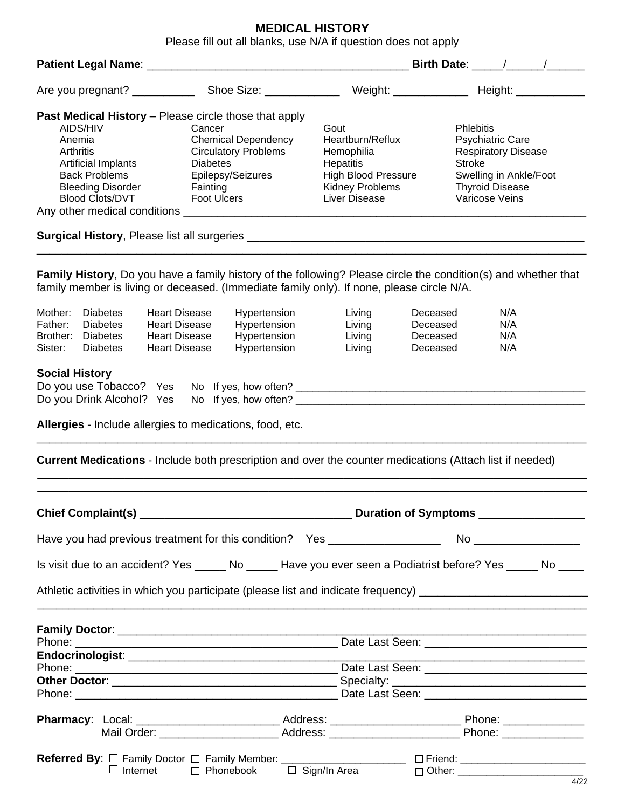# **MEDICAL HISTORY**

Please fill out all blanks, use N/A if question does not apply

|                                                                                                                                                                             |                                                                                                                                                                                                                                                                                                                                                                                                           | Birth Date: $\frac{1}{2}$ / $\frac{1}{2}$ |                                                                                                                                                                                            |  |  |
|-----------------------------------------------------------------------------------------------------------------------------------------------------------------------------|-----------------------------------------------------------------------------------------------------------------------------------------------------------------------------------------------------------------------------------------------------------------------------------------------------------------------------------------------------------------------------------------------------------|-------------------------------------------|--------------------------------------------------------------------------------------------------------------------------------------------------------------------------------------------|--|--|
|                                                                                                                                                                             |                                                                                                                                                                                                                                                                                                                                                                                                           |                                           |                                                                                                                                                                                            |  |  |
|                                                                                                                                                                             | <b>Past Medical History</b> – Please circle those that apply                                                                                                                                                                                                                                                                                                                                              |                                           |                                                                                                                                                                                            |  |  |
| AIDS/HIV                                                                                                                                                                    | Cancer                                                                                                                                                                                                                                                                                                                                                                                                    | Gout                                      | <b>Phlebitis</b>                                                                                                                                                                           |  |  |
| Anemia                                                                                                                                                                      | <b>Chemical Dependency</b>                                                                                                                                                                                                                                                                                                                                                                                | Heartburn/Reflux                          | <b>Psychiatric Care</b>                                                                                                                                                                    |  |  |
| Arthritis                                                                                                                                                                   | <b>Circulatory Problems</b>                                                                                                                                                                                                                                                                                                                                                                               | Hemophilia                                | <b>Respiratory Disease</b>                                                                                                                                                                 |  |  |
| Artificial Implants                                                                                                                                                         | <b>Diabetes</b>                                                                                                                                                                                                                                                                                                                                                                                           | Hepatitis                                 | <b>Stroke</b>                                                                                                                                                                              |  |  |
| <b>Back Problems</b>                                                                                                                                                        | Epilepsy/Seizures                                                                                                                                                                                                                                                                                                                                                                                         | <b>High Blood Pressure</b>                | Swelling in Ankle/Foot                                                                                                                                                                     |  |  |
| <b>Bleeding Disorder</b>                                                                                                                                                    | Fainting                                                                                                                                                                                                                                                                                                                                                                                                  | Kidney Problems                           | <b>Thyroid Disease</b>                                                                                                                                                                     |  |  |
| <b>Blood Clots/DVT</b>                                                                                                                                                      | <b>Foot Ulcers</b>                                                                                                                                                                                                                                                                                                                                                                                        | Varicose Veins<br>Liver Disease           |                                                                                                                                                                                            |  |  |
|                                                                                                                                                                             |                                                                                                                                                                                                                                                                                                                                                                                                           |                                           |                                                                                                                                                                                            |  |  |
|                                                                                                                                                                             |                                                                                                                                                                                                                                                                                                                                                                                                           |                                           |                                                                                                                                                                                            |  |  |
|                                                                                                                                                                             |                                                                                                                                                                                                                                                                                                                                                                                                           |                                           |                                                                                                                                                                                            |  |  |
| Mother:<br><b>Diabetes</b><br>Father:<br><b>Diabetes</b><br>Brother:<br><b>Diabetes</b><br>Sister:<br><b>Diabetes</b><br><b>Social History</b><br>Do you Drink Alcohol? Yes | family member is living or deceased. (Immediate family only). If none, please circle N/A.<br><b>Heart Disease</b><br>Hypertension<br>Hypertension<br><b>Heart Disease</b><br>Hypertension<br><b>Heart Disease</b><br>Hypertension<br><b>Heart Disease</b><br>Do you use Tobacco? Yes No If yes, how often? __________________________________<br>Allergies - Include allergies to medications, food, etc. | Living<br>Living<br>Living<br>Living      | Family History, Do you have a family history of the following? Please circle the condition(s) and whether that<br>N/A<br>Deceased<br>Deceased<br>N/A<br>Deceased<br>N/A<br>N/A<br>Deceased |  |  |
|                                                                                                                                                                             | <b>Current Medications</b> - Include both prescription and over the counter medications (Attach list if needed)                                                                                                                                                                                                                                                                                           |                                           |                                                                                                                                                                                            |  |  |
|                                                                                                                                                                             |                                                                                                                                                                                                                                                                                                                                                                                                           |                                           |                                                                                                                                                                                            |  |  |
|                                                                                                                                                                             | Have you had previous treatment for this condition? Yes ________________________                                                                                                                                                                                                                                                                                                                          |                                           | No ___________________                                                                                                                                                                     |  |  |
|                                                                                                                                                                             |                                                                                                                                                                                                                                                                                                                                                                                                           |                                           | Is visit due to an accident? Yes ______ No ______ Have you ever seen a Podiatrist before? Yes _____ No ____                                                                                |  |  |
|                                                                                                                                                                             |                                                                                                                                                                                                                                                                                                                                                                                                           |                                           | Athletic activities in which you participate (please list and indicate frequency) ____________________________                                                                             |  |  |
|                                                                                                                                                                             |                                                                                                                                                                                                                                                                                                                                                                                                           |                                           |                                                                                                                                                                                            |  |  |
|                                                                                                                                                                             |                                                                                                                                                                                                                                                                                                                                                                                                           |                                           |                                                                                                                                                                                            |  |  |
|                                                                                                                                                                             |                                                                                                                                                                                                                                                                                                                                                                                                           |                                           |                                                                                                                                                                                            |  |  |
|                                                                                                                                                                             |                                                                                                                                                                                                                                                                                                                                                                                                           |                                           |                                                                                                                                                                                            |  |  |
|                                                                                                                                                                             |                                                                                                                                                                                                                                                                                                                                                                                                           |                                           |                                                                                                                                                                                            |  |  |
|                                                                                                                                                                             |                                                                                                                                                                                                                                                                                                                                                                                                           |                                           |                                                                                                                                                                                            |  |  |
|                                                                                                                                                                             |                                                                                                                                                                                                                                                                                                                                                                                                           |                                           |                                                                                                                                                                                            |  |  |
|                                                                                                                                                                             |                                                                                                                                                                                                                                                                                                                                                                                                           |                                           |                                                                                                                                                                                            |  |  |
|                                                                                                                                                                             |                                                                                                                                                                                                                                                                                                                                                                                                           |                                           |                                                                                                                                                                                            |  |  |
|                                                                                                                                                                             |                                                                                                                                                                                                                                                                                                                                                                                                           |                                           |                                                                                                                                                                                            |  |  |
|                                                                                                                                                                             |                                                                                                                                                                                                                                                                                                                                                                                                           |                                           |                                                                                                                                                                                            |  |  |
| $\Box$ Internet                                                                                                                                                             | □ Phonebook                                                                                                                                                                                                                                                                                                                                                                                               | $\Box$ Sign/In Area                       |                                                                                                                                                                                            |  |  |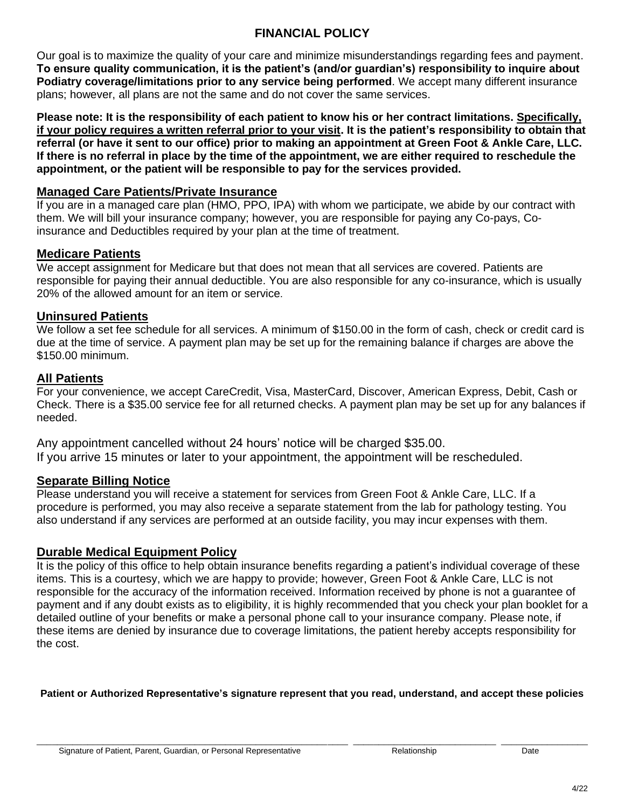## **FINANCIAL POLICY**

Our goal is to maximize the quality of your care and minimize misunderstandings regarding fees and payment. **To ensure quality communication, it is the patient's (and/or guardian's) responsibility to inquire about Podiatry coverage/limitations prior to any service being performed**. We accept many different insurance plans; however, all plans are not the same and do not cover the same services.

**Please note: It is the responsibility of each patient to know his or her contract limitations. Specifically, if your policy requires a written referral prior to your visit. It is the patient's responsibility to obtain that referral (or have it sent to our office) prior to making an appointment at Green Foot & Ankle Care, LLC. If there is no referral in place by the time of the appointment, we are either required to reschedule the appointment, or the patient will be responsible to pay for the services provided.** 

### **Managed Care Patients/Private Insurance**

If you are in a managed care plan (HMO, PPO, IPA) with whom we participate, we abide by our contract with them. We will bill your insurance company; however, you are responsible for paying any Co-pays, Coinsurance and Deductibles required by your plan at the time of treatment.

### **Medicare Patients**

We accept assignment for Medicare but that does not mean that all services are covered. Patients are responsible for paying their annual deductible. You are also responsible for any co-insurance, which is usually 20% of the allowed amount for an item or service.

### **Uninsured Patients**

We follow a set fee schedule for all services. A minimum of \$150.00 in the form of cash, check or credit card is due at the time of service. A payment plan may be set up for the remaining balance if charges are above the \$150.00 minimum.

## **All Patients**

For your convenience, we accept CareCredit, Visa, MasterCard, Discover, American Express, Debit, Cash or Check. There is a \$35.00 service fee for all returned checks. A payment plan may be set up for any balances if needed.

Any appointment cancelled without 24 hours' notice will be charged \$35.00. If you arrive 15 minutes or later to your appointment, the appointment will be rescheduled.

## **Separate Billing Notice**

Please understand you will receive a statement for services from Green Foot & Ankle Care, LLC. If a procedure is performed, you may also receive a separate statement from the lab for pathology testing. You also understand if any services are performed at an outside facility, you may incur expenses with them.

## **Durable Medical Equipment Policy**

It is the policy of this office to help obtain insurance benefits regarding a patient's individual coverage of these items. This is a courtesy, which we are happy to provide; however, Green Foot & Ankle Care, LLC is not responsible for the accuracy of the information received. Information received by phone is not a guarantee of payment and if any doubt exists as to eligibility, it is highly recommended that you check your plan booklet for a detailed outline of your benefits or make a personal phone call to your insurance company. Please note, if these items are denied by insurance due to coverage limitations, the patient hereby accepts responsibility for the cost.

**Patient or Authorized Representative's signature represent that you read, understand, and accept these policies**

\_\_\_\_\_\_\_\_\_\_\_\_\_\_\_\_\_\_\_\_\_\_\_\_\_\_\_\_\_\_\_\_\_\_\_\_\_\_\_\_\_\_\_\_\_\_\_\_\_\_\_\_\_\_\_\_\_\_\_\_\_ \_\_\_\_\_\_\_\_\_\_\_\_\_\_\_\_\_\_\_\_\_\_\_\_\_\_\_\_ \_\_\_\_\_\_\_\_\_\_\_\_\_\_\_\_\_